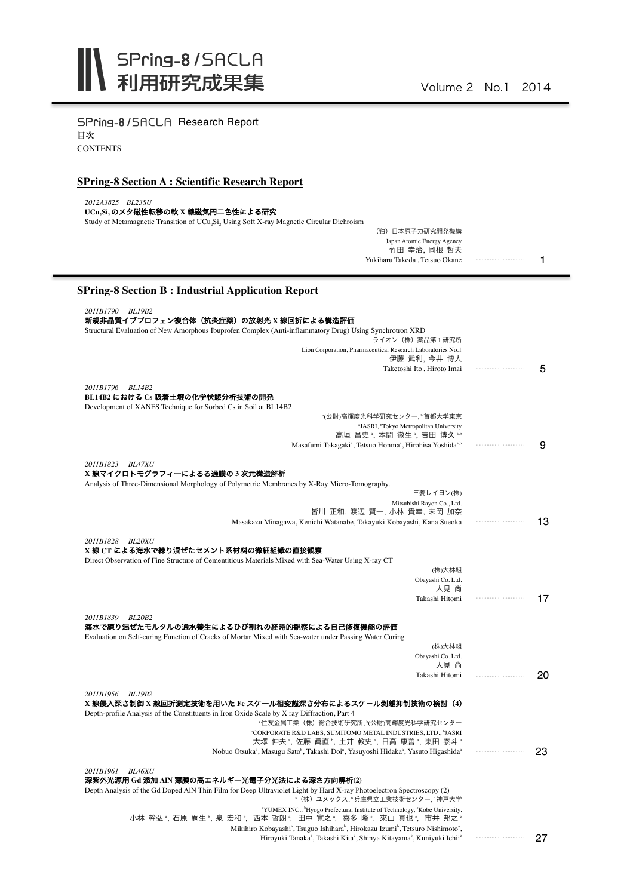SPring-8/SACLA Research Report 目次 **CONTENTS** 

## **SPring-8 Section A : Scientific Research Report**

| 2012A3825 BL23SU<br>UCu,Si,のメタ磁性転移の軟 X 線磁気円二色性による研究<br>Study of Metamagnetic Transition of UCu <sub>2</sub> Si <sub>2</sub> Using Soft X-ray Magnetic Circular Dichroism |        |
|--------------------------------------------------------------------------------------------------------------------------------------------------------------------------|--------|
| (独) 日本原子力研究開発機構                                                                                                                                                          |        |
| Japan Atomic Energy Agency<br>竹田 幸治, 岡根 哲夫                                                                                                                               |        |
| Yukiharu Takeda, Tetsuo Okane                                                                                                                                            | 1      |
| <b>SPring-8 Section B: Industrial Application Report</b>                                                                                                                 |        |
| 2011B1790 BL19B2                                                                                                                                                         |        |
| 新規非晶質イブプロフェン複合体(抗炎症薬)の放射光 X 線回折による構造評価<br>Structural Evaluation of New Amorphous Ibuprofen Complex (Anti-inflammatory Drug) Using Synchrotron XRD                        |        |
| ライオン (株) 薬品第1研究所                                                                                                                                                         |        |
| Lion Corporation, Pharmaceutical Research Laboratories No.1<br>伊藤 武利, 今井 博人                                                                                              |        |
| Taketoshi Ito, Hiroto Imai                                                                                                                                               | 5      |
| 2011B1796 BL14B2                                                                                                                                                         |        |
| BL14B2 における Cs 吸着土壌の化学状態分析技術の開発                                                                                                                                          |        |
| Development of XANES Technique for Sorbed Cs in Soil at BL14B2<br>*(公財)高輝度光科学研究センター, *首都大学東京                                                                             |        |
| "JASRI, 'Tokyo Metropolitan University                                                                                                                                   |        |
| 高垣 昌史", 本間 徹生", 吉田 博久""<br>Masafumi Takagaki <sup>a</sup> , Tetsuo Honma <sup>a</sup> , Hirohisa Yoshida <sup>a,b</sup>                                                  | 9      |
| 2011B1823 BL47XU                                                                                                                                                         |        |
| X 線マイクロトモグラフィーによるろ過膜の 3 次元構造解析                                                                                                                                           |        |
| Analysis of Three-Dimensional Morphology of Polymetric Membranes by X-Ray Micro-Tomography.                                                                              |        |
| 三菱レイヨン(株)<br>Mitsubishi Rayon Co., Ltd.                                                                                                                                  |        |
| 皆川 正和,渡辺 賢一,小林 貴幸,末岡 加奈                                                                                                                                                  |        |
| Masakazu Minagawa, Kenichi Watanabe, Takayuki Kobayashi, Kana Sueoka                                                                                                     | 13     |
| 2011B1828 BL20XU<br>X線 CT による海水で練り混ぜたセメント系材料の微細組織の直接観察                                                                                                                   |        |
| Direct Observation of Fine Structure of Cementitious Materials Mixed with Sea-Water Using X-ray CT                                                                       |        |
| (株)大林組                                                                                                                                                                   |        |
| Obayashi Co. Ltd.<br>人見 尚                                                                                                                                                |        |
| Takashi Hitomi                                                                                                                                                           | 17     |
| 2011B1839 BL20B2                                                                                                                                                         |        |
| 海水で練り混ぜたモルタルの通水養生によるひび割れの経時的観察による自己修復機能の評価                                                                                                                               |        |
| Evaluation on Self-curing Function of Cracks of Mortar Mixed with Sea-water under Passing Water Curing<br>(株)大林組                                                         |        |
| Obayashi Co. Ltd.                                                                                                                                                        |        |
| 人見 尚<br>Takashi Hitomi                                                                                                                                                   | <br>20 |
|                                                                                                                                                                          |        |
| 2011B1956 BL19B2<br>X 線侵入深さ制御 X 線回折測定技術を用いた Fe スケール相変態深さ分布によるスケール剥離抑制技術の検討(4)                                                                                            |        |
| Depth-profile Analysis of the Constituents in Iron Oxide Scale by X ray Diffraction, Part 4                                                                              |        |
| "住友金属工業(株)総合技術研究所,"(公財)高輝度光科学研究センター<br><sup>a</sup> CORPORATE R&D LABS, SUMITOMO METAL INDUSTRIES, LTD., <sup>b</sup> JASRI                                              |        |
| 大塚 伸夫 ", 佐藤 眞直 ", 土井 教史 ", 日高 康善 ", 東田 泰斗 "                                                                                                                              |        |
| Nobuo Otsuka <sup>a</sup> , Masugu Sato <sup>b</sup> , Takashi Doi <sup>a</sup> , Yasuyoshi Hidaka <sup>a</sup> , Yasuto Higashida <sup>a</sup>                          | 23     |
| 2011B1961 BL46XU                                                                                                                                                         |        |
| 深紫外光源用 Gd 添加 AIN 薄膜の高エネルギー光電子分光法による深さ方向解析(2)<br>Depth Analysis of the Gd Doped AIN Thin Film for Deep Ultraviolet Light by Hard X-ray Photoelectron Spectroscopy (2)     |        |
| * (株) ユメックス、『兵庫県立工業技術センター、『神戸大学                                                                                                                                          |        |
| <sup>a</sup> YUMEX INC., <sup>b</sup> Hyogo Prefectural Institute of Technology, 'Kobe University.<br>小林 幹弘 ,石原 嗣生 ',泉 宏和 ',西本 哲朗 ',田中 寛之 ',喜多 隆 ,來山 真也 ,市井 邦之 。         |        |
| Mikihiro Kobayashi <sup>a</sup> , Tsuguo Ishihara <sup>b</sup> , Hirokazu Izumi <sup>b</sup> , Tetsuro Nishimoto <sup>a</sup> ,                                          |        |

Hiroyuki Tanaka<sup>a</sup>, Takashi Kita<sup>c</sup>, Shinya Kitayama<sup>c</sup>, Kuniyuki Ichii<sup>c</sup>

27

・・・・・・・・・・・・・・・・・・・・・・・・・・・・・・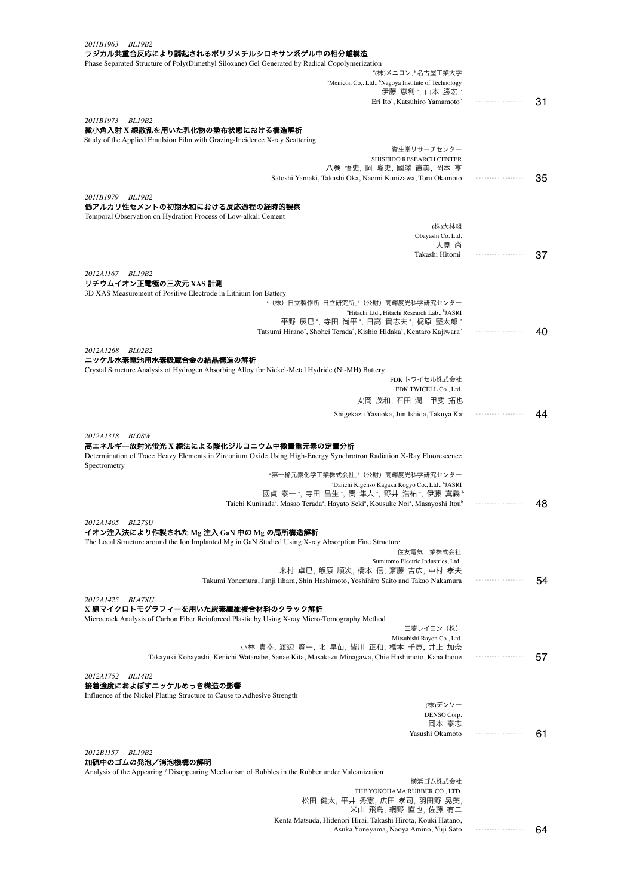| 2011B1963<br>BL19B2<br>ラジカル共重合反応により誘起されるポリジメチルシロキサン系ゲル中の相分離構造                                                                                                 |    |
|---------------------------------------------------------------------------------------------------------------------------------------------------------------|----|
| Phase Separated Structure of Poly(Dimethyl Siloxane) Gel Generated by Radical Copolymerization<br>"(株)メニコン,"名古屋工業大学                                           |    |
| <sup>a</sup> Menicon Co,. Ltd., <sup>b</sup> Nagoya Institute of Technology                                                                                   |    |
| 伊藤 恵利 ", 山本 勝宏 "<br>Eri Ito <sup>a</sup> , Katsuhiro Yamamoto <sup>b</sup>                                                                                    | 31 |
| 2011B1973<br>BL19B2                                                                                                                                           |    |
| 微小角入射 X 線散乱を用いた乳化物の塗布状態における構造解析<br>Study of the Applied Emulsion Film with Grazing-Incidence X-ray Scattering                                                 |    |
| 資生堂リサーチセンター                                                                                                                                                   |    |
| SHISEIDO RESEARCH CENTER<br>八巻 悟史, 岡 隆史, 國澤 直美, 岡本 亨                                                                                                          |    |
| Satoshi Yamaki, Takashi Oka, Naomi Kunizawa, Toru Okamoto                                                                                                     | 35 |
| 2011B1979<br><b>BL19B2</b>                                                                                                                                    |    |
| 低アルカリ性セメントの初期水和における反応過程の経時的観察<br>Temporal Observation on Hydration Process of Low-alkali Cement                                                               |    |
| (株)大林組                                                                                                                                                        |    |
| Obayashi Co. Ltd.<br>人見 尚                                                                                                                                     |    |
| Takashi Hitomi                                                                                                                                                | 37 |
| 2012A1167 BL19B2                                                                                                                                              |    |
| リチウムイオン正電極の三次元 XAS 計測                                                                                                                                         |    |
| 3D XAS Measurement of Positive Electrode in Lithium Ion Battery<br>*(株)日立製作所 日立研究所,"(公財)高輝度光科学研究センター                                                          |    |
| <sup>a</sup> Hitachi Ltd., Hitachi Research Lab., <sup>b</sup> JASRI                                                                                          |    |
| 平野 辰巳 ", 寺田 尚平 ", 日高 貴志夫 ", 梶原 堅太郎 "<br>Tatsumi Hirano <sup>ª</sup> , Shohei Terada <sup>ª</sup> , Kishio Hidaka <sup>ª</sup> , Kentaro Kajiwara <sup>b</sup> | 40 |
| 2012A1268 BL02B2                                                                                                                                              |    |
| ニッケル水素電池用水素吸蔵合金の結晶構造の解析                                                                                                                                       |    |
| Crystal Structure Analysis of Hydrogen Absorbing Alloy for Nickel-Metal Hydride (Ni-MH) Battery<br>FDK トワイセル株式会社                                              |    |
| FDK TWICELL Co., Ltd.                                                                                                                                         |    |
| 安岡 茂和, 石田 潤, 甲斐 拓也                                                                                                                                            |    |
| Shigekazu Yasuoka, Jun Ishida, Takuya Kai                                                                                                                     | 44 |
| 2012A1318 BL08W                                                                                                                                               |    |
| 高エネルギー放射光蛍光 X 線法による酸化ジルコニウム中微量重元素の定量分析                                                                                                                        |    |
| Determination of Trace Heavy Elements in Zirconium Oxide Using High-Energy Synchrotron Radiation X-Ray Fluorescence<br>Spectrometry                           |    |
| "第一稀元素化学工業株式会社, "(公財)高輝度光科学研究センター                                                                                                                             |    |
| <sup>ª</sup> Daiichi Kigenso Kagaku Kogyo Co., Ltd., <sup>b</sup> JASRI<br>國貞 泰一 ", 寺田 昌生 ", 関 隼人 ", 野井 浩祐 ", 伊藤 真義 "                                         |    |
| Taichi Kunisada <sup>a</sup> , Masao Terada <sup>a</sup> , Hayato Seki <sup>a</sup> , Kousuke Noi <sup>a</sup> , Masayoshi Itou <sup>b</sup>                  | 48 |
| 2012A1405 BL27SU                                                                                                                                              |    |
| イオン注入法により作製された Mg 注入 GaN 中の Mg の局所構造解析<br>The Local Structure around the Ion Implanted Mg in GaN Studied Using X-ray Absorption Fine Structure                |    |
| 住友電気工業株式会社                                                                                                                                                    |    |
| Sumitomo Electric Industries, Ltd.<br>米村 卓巳、飯原 順次、橋本 信、斎藤 吉広、中村 孝夫                                                                                            |    |
| Takumi Yonemura, Junji Iihara, Shin Hashimoto, Yoshihiro Saito and Takao Nakamura                                                                             | 54 |
| 2012A1425 BL47XU                                                                                                                                              |    |
| X 線マイクロトモグラフィーを用いた炭素繊維複合材料のクラック解析                                                                                                                             |    |
| Microcrack Analysis of Carbon Fiber Reinforced Plastic by Using X-ray Micro-Tomography Method<br>三菱レイヨン(株)                                                    |    |
| Mitsubishi Rayon Co., Ltd.                                                                                                                                    |    |
| 小林 貴幸, 渡辺 賢一, 北 早苗, 皆川 正和, 橋本 千恵, 井上 加奈<br>Takayuki Kobayashi, Kenichi Watanabe, Sanae Kita, Masakazu Minagawa, Chie Hashimoto, Kana Inoue                    | 57 |
|                                                                                                                                                               |    |
| 2012A1752<br><i>BL14B2</i><br>接着強度におよぼすニッケルめっき構造の影響                                                                                                           |    |
| Influence of the Nickel Plating Structure to Cause to Adhesive Strength                                                                                       |    |
| (株)デンソー<br>DENSO Corp.                                                                                                                                        |    |
| 岡本 泰志                                                                                                                                                         |    |
| Yasushi Okamoto                                                                                                                                               | 61 |
| 2012B1157<br>BL19B2                                                                                                                                           |    |
| 加硫中のゴムの発泡/消泡機構の解明<br>Analysis of the Appearing / Disappearing Mechanism of Bubbles in the Rubber under Vulcanization                                          |    |
| 横浜ゴム株式会社                                                                                                                                                      |    |
| THE YOKOHAMA RUBBER CO., LTD.<br>松田 健太, 平井 秀憲, 広田 孝司, 羽田野 晃葵,                                                                                                 |    |
| 米山 飛鳥, 網野 直也, 佐藤 有二                                                                                                                                           |    |
| Kenta Matsuda, Hidenori Hirai, Takashi Hirota, Kouki Hatano,                                                                                                  |    |

Asuka Yoneyama, Naoya Amino, Yuji Sato 64 ・・・・・・・・・・・・・・・・・・・・・・・・・・・・・・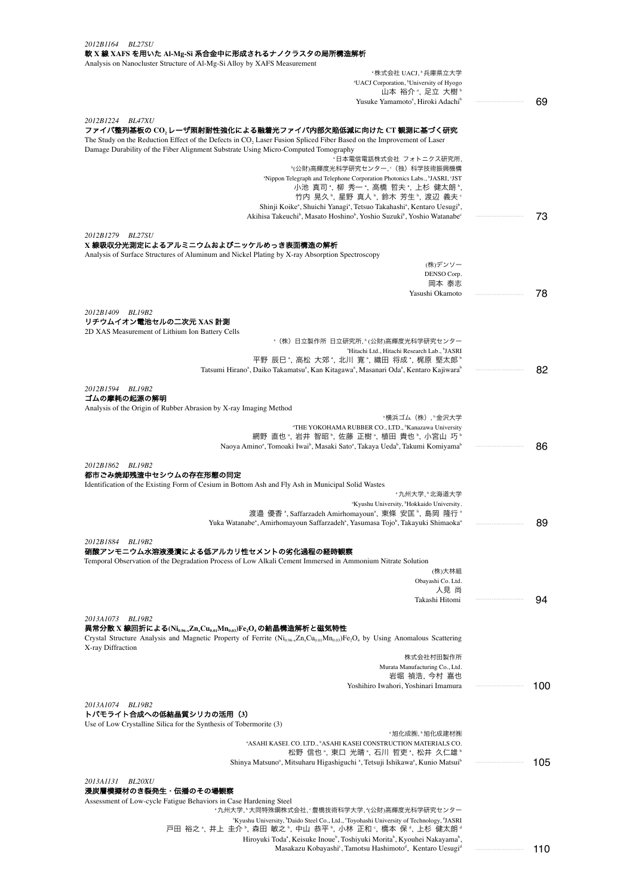| 2012B1164 BL27SU<br>軟 X 線 XAFS を用いた Al-Mg-Si 系合金中に形成されるナノクラスタの局所構造解析<br>Analysis on Nanocluster Structure of Al-Mg-Si Alloy by XAFS Measurement                                                                                                                                             |     |  |
|---------------------------------------------------------------------------------------------------------------------------------------------------------------------------------------------------------------------------------------------------------------------------------------------|-----|--|
| ≞株式会社 UACJ, ♭兵庫県立大学                                                                                                                                                                                                                                                                         |     |  |
| <sup>a</sup> UACJ Corporation, <sup>b</sup> University of Hyogo                                                                                                                                                                                                                             |     |  |
| 山本 裕介 *, 足立 大樹 *                                                                                                                                                                                                                                                                            |     |  |
| Yusuke Yamamoto <sup>a</sup> , Hiroki Adachi <sup>b</sup>                                                                                                                                                                                                                                   | 69  |  |
| 2012B1224 BL47XU<br>ファイバ整列基板の CO, レーザ照射耐性強化による融着光ファイバ内部欠陥低減に向けた CT 観測に基づく研究<br>The Study on the Reduction Effect of the Defects in $CO2$ Laser Fusion Spliced Fiber Based on the Improvement of Laser<br>Damage Durability of the Fiber Alignment Substrate Using Micro-Computed Tomography |     |  |
| *日本電信電話株式会社 フォトニクス研究所,                                                                                                                                                                                                                                                                      |     |  |
| ʰ(公財)高輝度光科学研究センター, ゜(独)科学技術振興機構                                                                                                                                                                                                                                                             |     |  |
| "Nippon Telegraph and Telephone Corporation Photonics Labs., "JASRI, "JST<br>小池 真司 , 柳 秀一 , 高橋 哲夫 , 上杉 健太朗 ,                                                                                                                                                                                |     |  |
| 竹内 晃久 〝,星野 真人 〝,鈴木 芳生 〝,渡辺 義夫 〟                                                                                                                                                                                                                                                             |     |  |
| Shinji Koike <sup>a</sup> , Shuichi Yanagi <sup>a</sup> , Tetsuo Takahashi <sup>a</sup> , Kentaro Uesugi <sup>b</sup> ,                                                                                                                                                                     |     |  |
| Akihisa Takeuchi <sup>b</sup> , Masato Hoshino <sup>b</sup> , Yoshio Suzuki <sup>b</sup> , Yoshio Watanabe <sup>c</sup>                                                                                                                                                                     | 73  |  |
| 2012B1279 BL27SU                                                                                                                                                                                                                                                                            |     |  |
| X 線吸収分光測定によるアルミニウムおよびニッケルめっき表面構造の解析                                                                                                                                                                                                                                                         |     |  |
| Analysis of Surface Structures of Aluminum and Nickel Plating by X-ray Absorption Spectroscopy<br>(株)デンソー                                                                                                                                                                                   |     |  |
| DENSO Corp.                                                                                                                                                                                                                                                                                 |     |  |
| 岡本 泰志                                                                                                                                                                                                                                                                                       |     |  |
| Yasushi Okamoto                                                                                                                                                                                                                                                                             | 78  |  |
| 2012B1409 BL19B2                                                                                                                                                                                                                                                                            |     |  |
| リチウムイオン電池セルの二次元 XAS 計測                                                                                                                                                                                                                                                                      |     |  |
| 2D XAS Measurement of Lithium Ion Battery Cells                                                                                                                                                                                                                                             |     |  |
| *(株)日立製作所 日立研究所, ゚(公財)高輝度光科学研究センター<br><sup>a</sup> Hitachi Ltd., Hitachi Research Lab., <sup>b</sup> JASRI                                                                                                                                                                                  |     |  |
| 平野 辰巳 ゚,高松 大郊 ゚,北川 寛 ゚,織田 将成 ゚,梶原 堅太郎 ゚                                                                                                                                                                                                                                                     |     |  |
| Tatsumi Hirano <sup>a</sup> , Daiko Takamatsu <sup>a</sup> , Kan Kitagawa <sup>a</sup> , Masanari Oda <sup>a</sup> , Kentaro Kajiwara <sup>b</sup>                                                                                                                                          | 82  |  |
|                                                                                                                                                                                                                                                                                             |     |  |
| 2012B1594 BL19B2<br>ゴムの摩耗の起源の解明                                                                                                                                                                                                                                                             |     |  |
| Analysis of the Origin of Rubber Abrasion by X-ray Imaging Method                                                                                                                                                                                                                           |     |  |
| "横浜ゴム(株),"金沢大学                                                                                                                                                                                                                                                                              |     |  |
| "THE YOKOHAMA RUBBER CO., LTD., <sup>b</sup> Kanazawa University<br>網野 直也*, 岩井 智昭*, 佐藤 正樹*, 植田 貴也*, 小宮山 巧*                                                                                                                                                                                  |     |  |
| Naoya Amino <sup>a</sup> , Tomoaki Iwai <sup>b</sup> , Masaki Sato <sup>a</sup> , Takaya Ueda <sup>b</sup> , Takumi Komiyama <sup>b</sup>                                                                                                                                                   | 86  |  |
|                                                                                                                                                                                                                                                                                             |     |  |
| 2012B1862 BL19B2<br>都市ごみ焼却残渣中セシウムの存在形態の同定                                                                                                                                                                                                                                                   |     |  |
| Identification of the Existing Form of Cesium in Bottom Ash and Fly Ash in Municipal Solid Wastes                                                                                                                                                                                           |     |  |
| "九州大学, "北海道大学                                                                                                                                                                                                                                                                               |     |  |
| "Kyushu University, "Hokkaido University.<br>渡邉 優香 <sup>a</sup> , Saffarzadeh Amirhomayoun <sup>a</sup> , 東條 安匡 <sup>b</sup> , 島岡 隆行 ª                                                                                                                                                      |     |  |
| Yuka Watanabe <sup>a</sup> , Amirhomayoun Saffarzadeh <sup>a</sup> , Yasumasa Tojo <sup>b</sup> , Takayuki Shimaoka <sup>a</sup>                                                                                                                                                            | 89  |  |
|                                                                                                                                                                                                                                                                                             |     |  |
| 2012B1884 BL19B2<br>硝酸アンモニウム水溶液浸漬による低アルカリ性セメントの劣化過程の経時観察<br>Temporal Observation of the Degradation Process of Low Alkali Cement Immersed in Ammonium Nitrate Solution                                                                                                                      |     |  |
| (株)大林組                                                                                                                                                                                                                                                                                      |     |  |
| Obayashi Co. Ltd.<br>人見 尚                                                                                                                                                                                                                                                                   |     |  |
| Takashi Hitomi                                                                                                                                                                                                                                                                              | 94  |  |
|                                                                                                                                                                                                                                                                                             |     |  |
| 2013A1073 BL19B2<br>異常分散 X 線回折による(Ni <sub>oss-X</sub> Zn <sub>x</sub> Cu <sub>osl</sub> Mn <sub>os3</sub> )Fe <sub>2</sub> O <sub>4</sub> の結晶構造解析と磁気特性                                                                                                                                      |     |  |
| Crystal Structure Analysis and Magnetic Property of Ferrite (Ni <sub>0.96-x</sub> Zn <sub>x</sub> Cu <sub>0.01</sub> Mn <sub>0.03</sub> )Fe <sub>2</sub> O <sub>4</sub> by Using Anomalous Scattering<br>X-ray Diffraction                                                                  |     |  |
| 株式会社村田製作所                                                                                                                                                                                                                                                                                   |     |  |
| Murata Manufacturing Co., Ltd.<br>岩堀 禎浩, 今村 嘉也                                                                                                                                                                                                                                              |     |  |
| Yoshihiro Iwahori, Yoshinari Imamura                                                                                                                                                                                                                                                        | 100 |  |
|                                                                                                                                                                                                                                                                                             |     |  |
| 2013A1074 BL19B2<br>トバモライト合成への低結晶質シリカの活用(3)                                                                                                                                                                                                                                                 |     |  |
| Use of Low Crystalline Silica for the Synthesis of Tobermorite (3)                                                                                                                                                                                                                          |     |  |
| "旭化成㈱,"旭化成建材㈱<br><sup>a</sup> ASAHI KASEI. CO. LTD., <sup>b</sup> ASAHI KASEI CONSTRUCTION MATERIALS CO.                                                                                                                                                                                    |     |  |
| 松野 信也 *, 東口 光晴 *, 石川 哲吏 *, 松井 久仁雄 *                                                                                                                                                                                                                                                         |     |  |
| Shinya Matsuno <sup>a</sup> , Mitsuharu Higashiguchi <sup>a</sup> , Tetsuji Ishikawa <sup>a</sup> , Kunio Matsui <sup>b</sup>                                                                                                                                                               | 105 |  |
|                                                                                                                                                                                                                                                                                             |     |  |
| 2013A1131<br><b>BL20XU</b><br>浸炭層模擬材のき裂発生・伝播のその場観察                                                                                                                                                                                                                                          |     |  |
| Assessment of Low-cycle Fatigue Behaviors in Case Hardening Steel                                                                                                                                                                                                                           |     |  |
| "九州大学,"大同特殊鋼株式会社,"豊橋技術科学大学,"(公財)高輝度光科学研究センター                                                                                                                                                                                                                                                |     |  |
| <sup>a</sup> Kyushu University, <sup>b</sup> Daido Steel Co., Ltd., 'Toyohashi University of Technology, <sup>d</sup> JASRI<br>戸田 裕之 ゚, 井上 圭介 ゚, 森田 敏之 ゚, 中山 恭平 ゚, 小林 正和 ゚, 橋本 保 ゚, 上杉 健太朗 ゚                                                                                                |     |  |
| Hiroyuki Toda <sup>a</sup> , Keisuke Inoue <sup>b</sup> , Toshiyuki Morita <sup>b</sup> , Kyouhei Nakayama <sup>b</sup> ,                                                                                                                                                                   |     |  |

Masakazu Kobayashi°, Tamotsu Hashimoto<sup>d</sup>, Kentaro Uesugi<sup>d</sup>an ammammumum 110